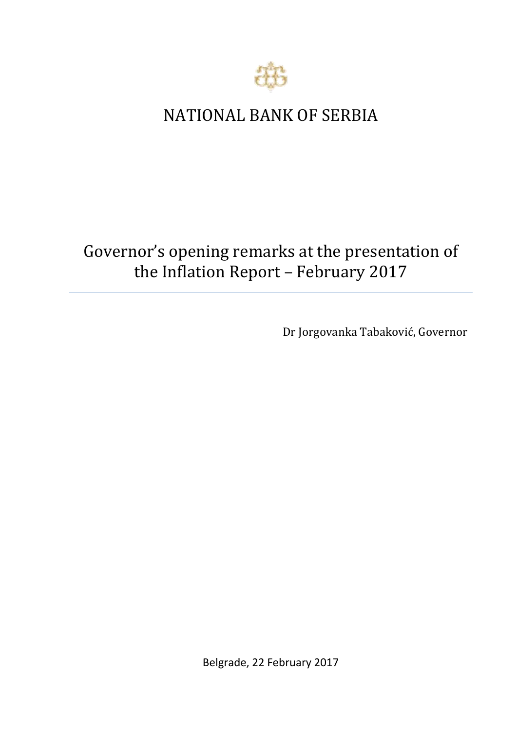

# NATIONAL BANK OF SERBIA

# Governor's opening remarks at the presentation of the Inflation Report – February 2017

Dr Jorgovanka Tabaković, Governor

Belgrade, 22 February 2017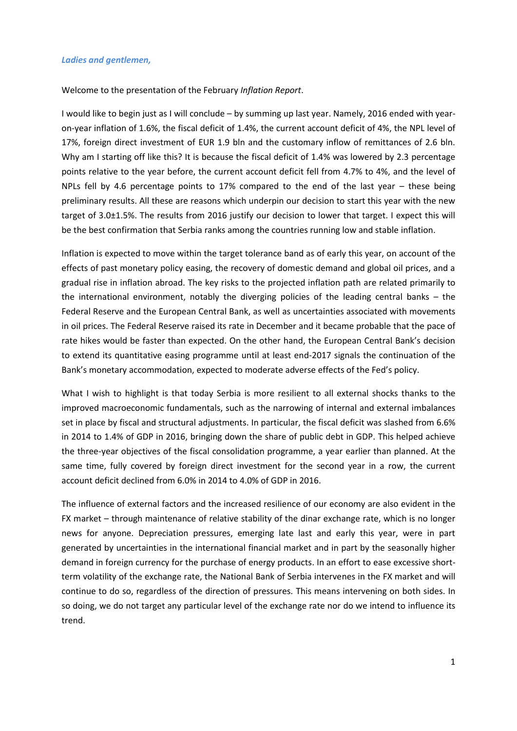#### *Ladies and gentlemen,*

Welcome to the presentation of the February *Inflation Report*.

I would like to begin just as I will conclude – by summing up last year. Namely, 2016 ended with yearon-year inflation of 1.6%, the fiscal deficit of 1.4%, the current account deficit of 4%, the NPL level of 17%, foreign direct investment of EUR 1.9 bln and the customary inflow of remittances of 2.6 bln. Why am I starting off like this? It is because the fiscal deficit of 1.4% was lowered by 2.3 percentage points relative to the year before, the current account deficit fell from 4.7% to 4%, and the level of NPLs fell by 4.6 percentage points to 17% compared to the end of the last year  $-$  these being preliminary results. All these are reasons which underpin our decision to start this year with the new target of 3.0±1.5%. The results from 2016 justify our decision to lower that target. I expect this will be the best confirmation that Serbia ranks among the countries running low and stable inflation.

Inflation is expected to move within the target tolerance band as of early this year, on account of the effects of past monetary policy easing, the recovery of domestic demand and global oil prices, and a gradual rise in inflation abroad. The key risks to the projected inflation path are related primarily to the international environment, notably the diverging policies of the leading central banks – the Federal Reserve and the European Central Bank, as well as uncertainties associated with movements in oil prices. The Federal Reserve raised its rate in December and it became probable that the pace of rate hikes would be faster than expected. On the other hand, the European Central Bank's decision to extend its quantitative easing programme until at least end-2017 signals the continuation of the Bank's monetary accommodation, expected to moderate adverse effects of the Fed's policy.

What I wish to highlight is that today Serbia is more resilient to all external shocks thanks to the improved macroeconomic fundamentals, such as the narrowing of internal and external imbalances set in place by fiscal and structural adjustments. In particular, the fiscal deficit was slashed from 6.6% in 2014 to 1.4% of GDP in 2016, bringing down the share of public debt in GDP. This helped achieve the three-year objectives of the fiscal consolidation programme, a year earlier than planned. At the same time, fully covered by foreign direct investment for the second year in a row, the current account deficit declined from 6.0% in 2014 to 4.0% of GDP in 2016.

The influence of external factors and the increased resilience of our economy are also evident in the FX market – through maintenance of relative stability of the dinar exchange rate, which is no longer news for anyone. Depreciation pressures, emerging late last and early this year, were in part generated by uncertainties in the international financial market and in part by the seasonally higher demand in foreign currency for the purchase of energy products. In an effort to ease excessive shortterm volatility of the exchange rate, the National Bank of Serbia intervenes in the FX market and will continue to do so, regardless of the direction of pressures. This means intervening on both sides. In so doing, we do not target any particular level of the exchange rate nor do we intend to influence its trend.